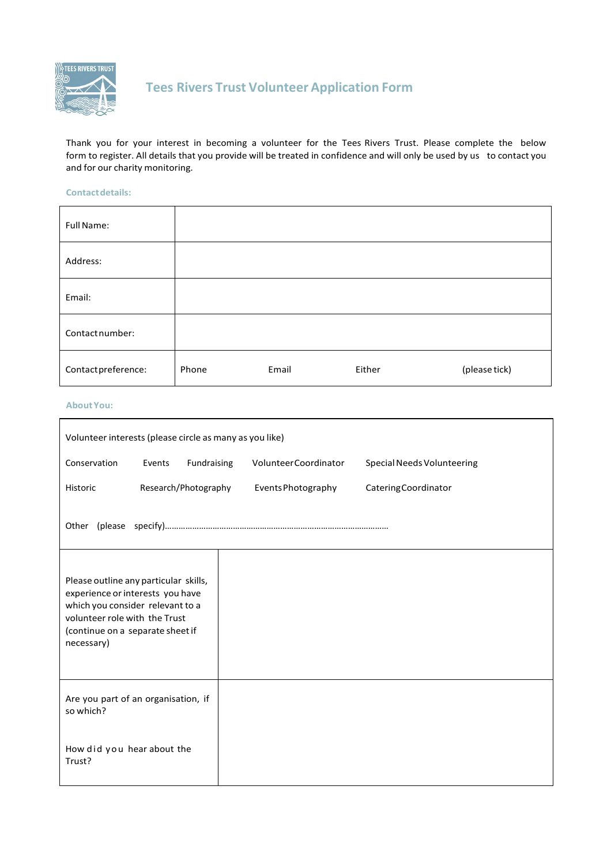

# **Tees Rivers Trust Volunteer Application Form**

Thank you for your interest in becoming a volunteer for the Tees Rivers Trust. Please complete the below form to register. All details that you provide will be treated in confidence and will only be used by us to contact you and for our charity monitoring.

#### **Contactdetails:**

| Full Name:          |       |       |        |               |
|---------------------|-------|-------|--------|---------------|
| Address:            |       |       |        |               |
| Email:              |       |       |        |               |
| Contact number:     |       |       |        |               |
| Contact preference: | Phone | Email | Either | (please tick) |

#### **AboutYou:**

| Volunteer interests (please circle as many as you like)                                                                                                                                          |        |                      |                             |                                   |
|--------------------------------------------------------------------------------------------------------------------------------------------------------------------------------------------------|--------|----------------------|-----------------------------|-----------------------------------|
| Conservation                                                                                                                                                                                     | Events | Fundraising          | <b>VolunteerCoordinator</b> | <b>Special Needs Volunteering</b> |
| Historic                                                                                                                                                                                         |        | Research/Photography | Events Photography          | Catering Coordinator              |
|                                                                                                                                                                                                  |        |                      |                             |                                   |
| Please outline any particular skills,<br>experience or interests you have<br>which you consider relevant to a<br>volunteer role with the Trust<br>(continue on a separate sheet if<br>necessary) |        |                      |                             |                                   |
| Are you part of an organisation, if<br>so which?                                                                                                                                                 |        |                      |                             |                                   |
| How did you hear about the<br>Trust?                                                                                                                                                             |        |                      |                             |                                   |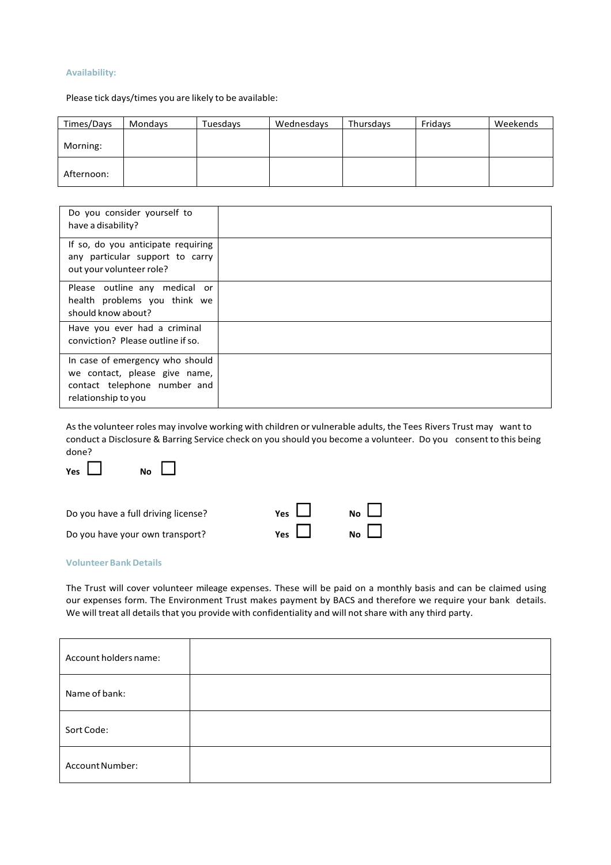# **Availability:**

Please tick days/times you are likely to be available:

| Times/Days | Mondays | Tuesdays | Wednesdays | Thursdays | Fridays | Weekends |
|------------|---------|----------|------------|-----------|---------|----------|
| Morning:   |         |          |            |           |         |          |
| Afternoon: |         |          |            |           |         |          |

| Do you consider yourself to<br>have a disability?                                                                       |  |
|-------------------------------------------------------------------------------------------------------------------------|--|
| If so, do you anticipate requiring<br>any particular support to carry<br>out your volunteer role?                       |  |
| Please outline any medical or<br>health problems you think we<br>should know about?                                     |  |
| Have you ever had a criminal<br>conviction? Please outline if so.                                                       |  |
| In case of emergency who should<br>we contact, please give name,<br>contact telephone number and<br>relationship to you |  |

Asthe volunteer roles may involve working with children or vulnerable adults, the Tees Rivers Trust may want to conduct a Disclosure & Barring Service check on you should you become a volunteer. Do you consent to this being done?





| Do you have a full driving license? | Yes $\Box$ | $\overline{N}$ o $\Box$ |
|-------------------------------------|------------|-------------------------|
| Do you have your own transport?     | Yes $\Box$ | $N_{\rm O}$             |

#### **Volunteer BankDetails**

The Trust will cover volunteer mileage expenses. These will be paid on a monthly basis and can be claimed using our expenses form. The Environment Trust makes payment by BACS and therefore we require your bank details. We will treat all details that you provide with confidentiality and will not share with any third party.

| Account holders name: |  |
|-----------------------|--|
| Name of bank:         |  |
| Sort Code:            |  |
| Account Number:       |  |